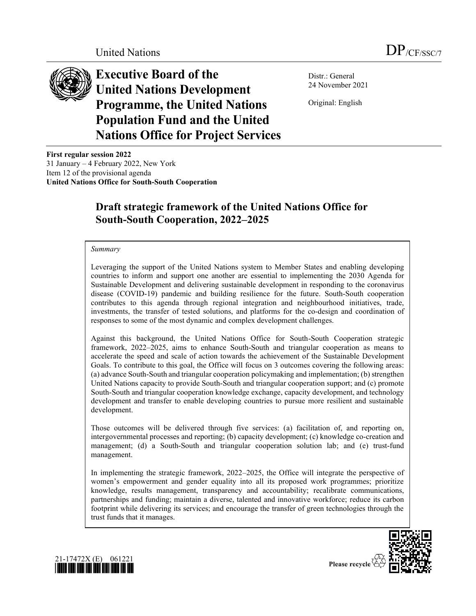

**Executive Board of the United Nations Development Programme, the United Nations Population Fund and the United Nations Office for Project Services** 

Distr.: General 24 November 2021

Original: English

**First regular session 2022** 31 January  $-4$  February 2022, New York Item 12 of the provisional agenda **United Nations Office for South-South Cooperation**

# **Draft strategic framework of the United Nations Office for South-South Cooperation, 2022±2025**

#### *Summary*

Leveraging the support of the United Nations system to Member States and enabling developing countries to inform and support one another are essential to implementing the 2030 Agenda for Sustainable Development and delivering sustainable development in responding to the coronavirus disease (COVID-19) pandemic and building resilience for the future. South-South cooperation contributes to this agenda through regional integration and neighbourhood initiatives, trade, investments, the transfer of tested solutions, and platforms for the co-design and coordination of responses to some of the most dynamic and complex development challenges.

Against this background, the United Nations Office for South-South Cooperation strategic framework, 2022–2025, aims to enhance South-South and triangular cooperation as means to accelerate the speed and scale of action towards the achievement of the Sustainable Development Goals. To contribute to this goal, the Office will focus on 3 outcomes covering the following areas: (a) advance South-South and triangular cooperation policymaking and implementation; (b) strengthen United Nations capacity to provide South-South and triangular cooperation support; and (c) promote South-South and triangular cooperation knowledge exchange, capacity development, and technology development and transfer to enable developing countries to pursue more resilient and sustainable development.

Those outcomes will be delivered through five services: (a) facilitation of, and reporting on, intergovernmental processes and reporting; (b) capacity development; (c) knowledge co-creation and management; (d) a South-South and triangular cooperation solution lab; and (e) trust-fund management.

In implementing the strategic framework, 2022–2025, the Office will integrate the perspective of women's empowerment and gender equality into all its proposed work programmes; prioritize knowledge, results management, transparency and accountability; recalibrate communications, partnerships and funding; maintain a diverse, talented and innovative workforce; reduce its carbon footprint while delivering its services; and encourage the transfer of green technologies through the trust funds that it manages.





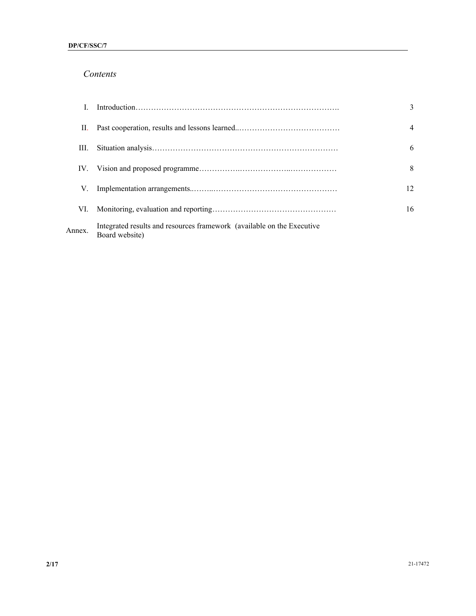# *Contents*

|        |                                                                                          | $\mathbf{3}$   |
|--------|------------------------------------------------------------------------------------------|----------------|
| П.     |                                                                                          | $\overline{4}$ |
| Ш.     |                                                                                          | 6              |
| IV.    |                                                                                          | 8              |
| V.     |                                                                                          | 12             |
| VI.    |                                                                                          | 16             |
| Annex. | Integrated results and resources framework (available on the Executive<br>Board website) |                |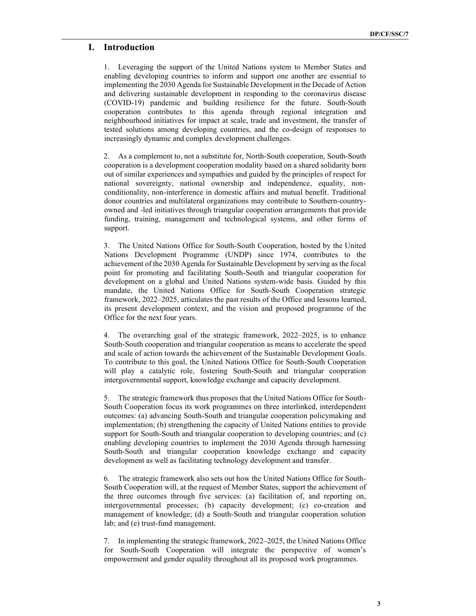## **I. Introduction**

1. Leveraging the support of the United Nations system to Member States and enabling developing countries to inform and support one another are essential to implementing the 2030 Agenda for Sustainable Development in the Decade of Action and delivering sustainable development in responding to the coronavirus disease (COVID-19) pandemic and building resilience for the future. South-South cooperation contributes to this agenda through regional integration and neighbourhood initiatives for impact at scale, trade and investment, the transfer of tested solutions among developing countries, and the co-design of responses to increasingly dynamic and complex development challenges.

2. As a complement to, not a substitute for, North-South cooperation, South-South cooperation is a development cooperation modality based on a shared solidarity born out of similar experiences and sympathies and guided by the principles of respect for national sovereignty, national ownership and independence, equality, nonconditionality, non-interference in domestic affairs and mutual benefit. Traditional donor countries and multilateral organizations may contribute to Southern-countryowned and -led initiatives through triangular cooperation arrangements that provide funding, training, management and technological systems, and other forms of support.

3. The United Nations Office for South-South Cooperation, hosted by the United Nations Development Programme (UNDP) since 1974, contributes to the achievement of the 2030 Agenda for Sustainable Development by serving as the focal point for promoting and facilitating South-South and triangular cooperation for development on a global and United Nations system-wide basis. Guided by this mandate, the United Nations Office for South-South Cooperation strategic framework, 2022–2025, articulates the past results of the Office and lessons learned, its present development context, and the vision and proposed programme of the Office for the next four years.

4. The overarching goal of the strategic framework, 2022–2025, is to enhance South-South cooperation and triangular cooperation as means to accelerate the speed and scale of action towards the achievement of the Sustainable Development Goals. To contribute to this goal, the United Nations Office for South-South Cooperation will play a catalytic role, fostering South-South and triangular cooperation intergovernmental support, knowledge exchange and capacity development.

5. The strategic framework thus proposes that the United Nations Office for South-South Cooperation focus its work programmes on three interlinked, interdependent outcomes: (a) advancing South-South and triangular cooperation policymaking and implementation; (b) strengthening the capacity of United Nations entities to provide support for South-South and triangular cooperation to developing countries; and (c) enabling developing countries to implement the 2030 Agenda through harnessing South-South and triangular cooperation knowledge exchange and capacity development as well as facilitating technology development and transfer.

6. The strategic framework also sets out how the United Nations Office for South-South Cooperation will, at the request of Member States, support the achievement of the three outcomes through five services: (a) facilitation of, and reporting on, intergovernmental processes; (b) capacity development; (c) co-creation and management of knowledge; (d) a South-South and triangular cooperation solution lab; and (e) trust-fund management.

7. In implementing the strategic framework, 2022–2025, the United Nations Office for South-South Cooperation will integrate the perspective of women's empowerment and gender equality throughout all its proposed work programmes.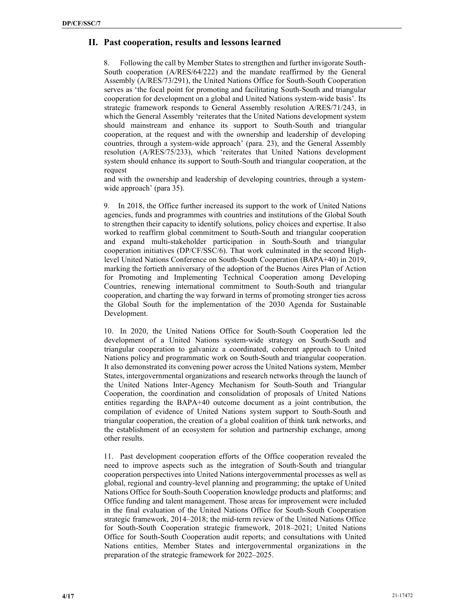# **II. Past cooperation, results and lessons learned**

8. Following the call by Member States to strengthen and further invigorate South-South cooperation (A/RES/64/222) and the mandate reaffirmed by the General Assembly (A/RES/73/291), the United Nations Office for South-South Cooperation serves as 'the focal point for promoting and facilitating South-South and triangular cooperation for development on a global and United Nations system-wide basis'. Its strategic framework responds to General Assembly resolution A/RES/71/243, in which the General Assembly 'reiterates that the United Nations development system should mainstream and enhance its support to South-South and triangular cooperation, at the request and with the ownership and leadership of developing countries, through a system-wide approach' (para. 23), and the General Assembly resolution (A/RES/75/233), which 'reiterates that United Nations development system should enhance its support to South-South and triangular cooperation, at the request

and with the ownership and leadership of developing countries, through a systemwide approach' (para 35).

9. In 2018, the Office further increased its support to the work of United Nations agencies, funds and programmes with countries and institutions of the Global South to strengthen their capacity to identify solutions, policy choices and expertise. It also worked to reaffirm global commitment to South-South and triangular cooperation and expand multi-stakeholder participation in South-South and triangular cooperation initiatives (DP/CF/SSC/6). That work culminated in the second Highlevel United Nations Conference on South-South Cooperation (BAPA+40) in 2019, marking the fortieth anniversary of the adoption of the Buenos Aires Plan of Action for Promoting and Implementing Technical Cooperation among Developing Countries, renewing international commitment to South-South and triangular cooperation, and charting the way forward in terms of promoting stronger ties across the Global South for the implementation of the 2030 Agenda for Sustainable Development.

10. In 2020, the United Nations Office for South-South Cooperation led the development of a United Nations system-wide strategy on South-South and triangular cooperation to galvanize a coordinated, coherent approach to United Nations policy and programmatic work on South-South and triangular cooperation. It also demonstrated its convening power across the United Nations system, Member States, intergovernmental organizations and research networks through the launch of the United Nations Inter-Agency Mechanism for South-South and Triangular Cooperation, the coordination and consolidation of proposals of United Nations entities regarding the BAPA+40 outcome document as a joint contribution, the compilation of evidence of United Nations system support to South-South and triangular cooperation, the creation of a global coalition of think tank networks, and the establishment of an ecosystem for solution and partnership exchange, among other results.

11. Past development cooperation efforts of the Office cooperation revealed the need to improve aspects such as the integration of South-South and triangular cooperation perspectives into United Nations intergovernmental processes as well as global, regional and country-level planning and programming; the uptake of United Nations Office for South-South Cooperation knowledge products and platforms; and Office funding and talent management. Those areas for improvement were included in the final evaluation of the United Nations Office for South-South Cooperation strategic framework,  $2014-2018$ ; the mid-term review of the United Nations Office for South-South Cooperation strategic framework, 2018–2021; United Nations Office for South-South Cooperation audit reports; and consultations with United Nations entities, Member States and intergovernmental organizations in the preparation of the strategic framework for  $2022-2025$ .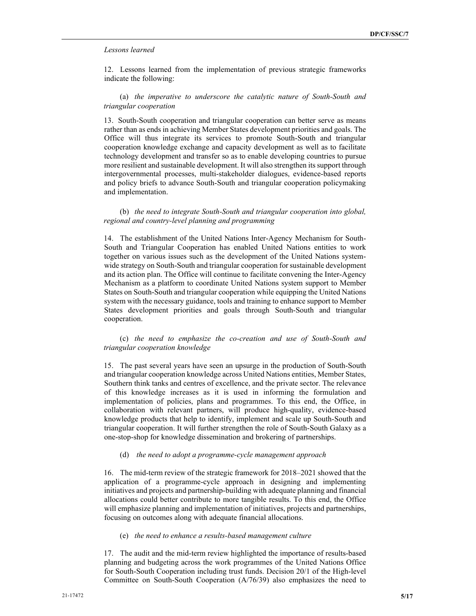#### *Lessons learned*

12. Lessons learned from the implementation of previous strategic frameworks indicate the following:

## (a) *the imperative to underscore the catalytic nature of South-South and triangular cooperation*

13. South-South cooperation and triangular cooperation can better serve as means rather than as ends in achieving Member States development priorities and goals. The Office will thus integrate its services to promote South-South and triangular cooperation knowledge exchange and capacity development as well as to facilitate technology development and transfer so as to enable developing countries to pursue more resilient and sustainable development. It will also strengthen its support through intergovernmental processes, multi-stakeholder dialogues, evidence-based reports and policy briefs to advance South-South and triangular cooperation policymaking and implementation.

(b) *the need to integrate South-South and triangular cooperation into global, regional and country-level planning and programming*

14. The establishment of the United Nations Inter-Agency Mechanism for South-South and Triangular Cooperation has enabled United Nations entities to work together on various issues such as the development of the United Nations systemwide strategy on South-South and triangular cooperation for sustainable development and its action plan. The Office will continue to facilitate convening the Inter-Agency Mechanism as a platform to coordinate United Nations system support to Member States on South-South and triangular cooperation while equipping the United Nations system with the necessary guidance, tools and training to enhance support to Member States development priorities and goals through South-South and triangular cooperation.

(c) *the need to emphasize the co-creation and use of South-South and triangular cooperation knowledge*

15. The past several years have seen an upsurge in the production of South-South and triangular cooperation knowledge across United Nations entities, Member States, Southern think tanks and centres of excellence, and the private sector. The relevance of this knowledge increases as it is used in informing the formulation and implementation of policies, plans and programmes. To this end, the Office, in collaboration with relevant partners, will produce high-quality, evidence-based knowledge products that help to identify, implement and scale up South-South and triangular cooperation. It will further strengthen the role of South-South Galaxy as a one-stop-shop for knowledge dissemination and brokering of partnerships.

#### (d) *the need to adopt a programme-cycle management approach*

16. The mid-term review of the strategic framework for 2018–2021 showed that the application of a programme-cycle approach in designing and implementing initiatives and projects and partnership-building with adequate planning and financial allocations could better contribute to more tangible results. To this end, the Office will emphasize planning and implementation of initiatives, projects and partnerships, focusing on outcomes along with adequate financial allocations.

## (e) *the need to enhance a results-based management culture*

17. The audit and the mid-term review highlighted the importance of results-based planning and budgeting across the work programmes of the United Nations Office for South-South Cooperation including trust funds. Decision 20/1 of the High-level Committee on South-South Cooperation (A/76/39) also emphasizes the need to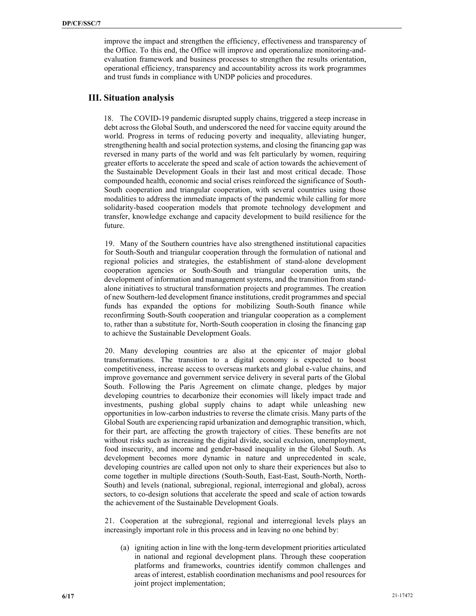improve the impact and strengthen the efficiency, effectiveness and transparency of the Office. To this end, the Office will improve and operationalize monitoring-andevaluation framework and business processes to strengthen the results orientation, operational efficiency, transparency and accountability across its work programmes and trust funds in compliance with UNDP policies and procedures.

# **III. Situation analysis**

18. The COVID-19 pandemic disrupted supply chains, triggered a steep increase in debt across the Global South, and underscored the need for vaccine equity around the world. Progress in terms of reducing poverty and inequality, alleviating hunger, strengthening health and social protection systems, and closing the financing gap was reversed in many parts of the world and was felt particularly by women, requiring greater efforts to accelerate the speed and scale of action towards the achievement of the Sustainable Development Goals in their last and most critical decade. Those compounded health, economic and social crises reinforced the significance of South-South cooperation and triangular cooperation, with several countries using those modalities to address the immediate impacts of the pandemic while calling for more solidarity-based cooperation models that promote technology development and transfer, knowledge exchange and capacity development to build resilience for the future.

19. Many of the Southern countries have also strengthened institutional capacities for South-South and triangular cooperation through the formulation of national and regional policies and strategies, the establishment of stand-alone development cooperation agencies or South-South and triangular cooperation units, the development of information and management systems, and the transition from standalone initiatives to structural transformation projects and programmes. The creation of new Southern-led development finance institutions, credit programmes and special funds has expanded the options for mobilizing South-South finance while reconfirming South-South cooperation and triangular cooperation as a complement to, rather than a substitute for, North-South cooperation in closing the financing gap to achieve the Sustainable Development Goals.

20. Many developing countries are also at the epicenter of major global transformations. The transition to a digital economy is expected to boost competitiveness, increase access to overseas markets and global e-value chains, and improve governance and government service delivery in several parts of the Global South. Following the Paris Agreement on climate change, pledges by major developing countries to decarbonize their economies will likely impact trade and investments, pushing global supply chains to adapt while unleashing new opportunities in low-carbon industries to reverse the climate crisis. Many parts of the Global South are experiencing rapid urbanization and demographic transition, which, for their part, are affecting the growth trajectory of cities. These benefits are not without risks such as increasing the digital divide, social exclusion, unemployment, food insecurity, and income and gender-based inequality in the Global South. As development becomes more dynamic in nature and unprecedented in scale, developing countries are called upon not only to share their experiences but also to come together in multiple directions (South-South, East-East, South-North, North-South) and levels (national, subregional, regional, interregional and global), across sectors, to co-design solutions that accelerate the speed and scale of action towards the achievement of the Sustainable Development Goals.

21. Cooperation at the subregional, regional and interregional levels plays an increasingly important role in this process and in leaving no one behind by:

(a) igniting action in line with the long-term development priorities articulated in national and regional development plans. Through these cooperation platforms and frameworks, countries identify common challenges and areas of interest, establish coordination mechanisms and pool resources for joint project implementation;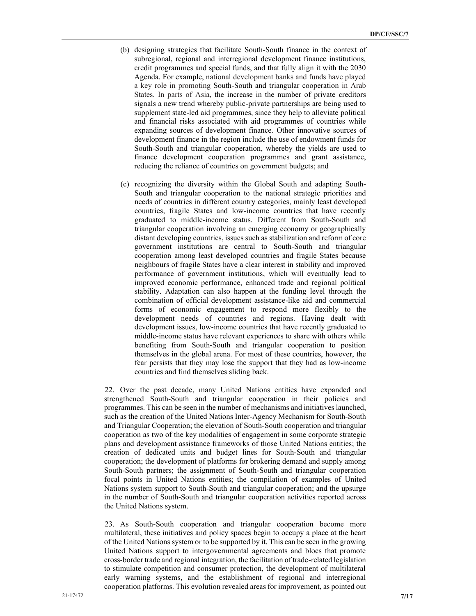- (b) designing strategies that facilitate South-South finance in the context of subregional, regional and interregional development finance institutions, credit programmes and special funds, and that fully align it with the 2030 Agenda. For example, national development banks and funds have played a key role in promoting South-South and triangular cooperation in Arab States. In parts of Asia, the increase in the number of private creditors signals a new trend whereby public-private partnerships are being used to supplement state-led aid programmes, since they help to alleviate political and financial risks associated with aid programmes of countries while expanding sources of development finance. Other innovative sources of development finance in the region include the use of endowment funds for South-South and triangular cooperation, whereby the yields are used to finance development cooperation programmes and grant assistance, reducing the reliance of countries on government budgets; and
- (c) recognizing the diversity within the Global South and adapting South-South and triangular cooperation to the national strategic priorities and needs of countries in different country categories, mainly least developed countries, fragile States and low-income countries that have recently graduated to middle-income status. Different from South-South and triangular cooperation involving an emerging economy or geographically distant developing countries, issues such as stabilization and reform of core government institutions are central to South-South and triangular cooperation among least developed countries and fragile States because neighbours of fragile States have a clear interest in stability and improved performance of government institutions, which will eventually lead to improved economic performance, enhanced trade and regional political stability. Adaptation can also happen at the funding level through the combination of official development assistance-like aid and commercial forms of economic engagement to respond more flexibly to the development needs of countries and regions. Having dealt with development issues, low-income countries that have recently graduated to middle-income status have relevant experiences to share with others while benefiting from South-South and triangular cooperation to position themselves in the global arena. For most of these countries, however, the fear persists that they may lose the support that they had as low-income countries and find themselves sliding back.

22. Over the past decade, many United Nations entities have expanded and strengthened South-South and triangular cooperation in their policies and programmes. This can be seen in the number of mechanisms and initiatives launched, such as the creation of the United Nations Inter-Agency Mechanism for South-South and Triangular Cooperation; the elevation of South-South cooperation and triangular cooperation as two of the key modalities of engagement in some corporate strategic plans and development assistance frameworks of those United Nations entities; the creation of dedicated units and budget lines for South-South and triangular cooperation; the development of platforms for brokering demand and supply among South-South partners; the assignment of South-South and triangular cooperation focal points in United Nations entities; the compilation of examples of United Nations system support to South-South and triangular cooperation; and the upsurge in the number of South-South and triangular cooperation activities reported across the United Nations system.

23. As South-South cooperation and triangular cooperation become more multilateral, these initiatives and policy spaces begin to occupy a place at the heart of the United Nations system or to be supported by it. This can be seen in the growing United Nations support to intergovernmental agreements and blocs that promote cross-border trade and regional integration, the facilitation of trade-related legislation to stimulate competition and consumer protection, the development of multilateral early warning systems, and the establishment of regional and interregional cooperation platforms. This evolution revealed areas for improvement, as pointed out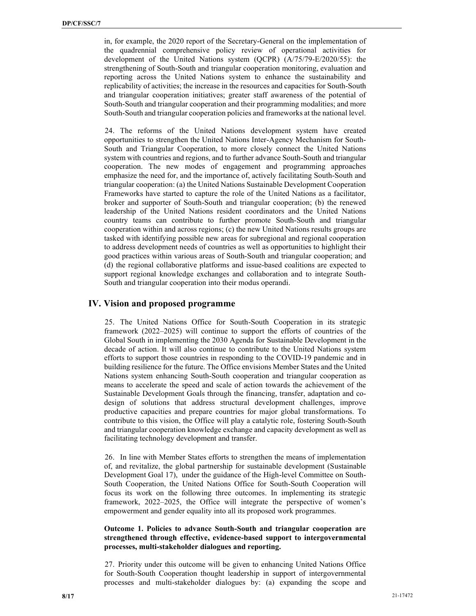in, for example, the 2020 report of the Secretary-General on the implementation of the quadrennial comprehensive policy review of operational activities for development of the United Nations system (QCPR) (A/75/79-E/2020/55): the strengthening of South-South and triangular cooperation monitoring, evaluation and reporting across the United Nations system to enhance the sustainability and replicability of activities; the increase in the resources and capacities for South-South and triangular cooperation initiatives; greater staff awareness of the potential of South-South and triangular cooperation and their programming modalities; and more South-South and triangular cooperation policies and frameworks at the national level.

24. The reforms of the United Nations development system have created opportunities to strengthen the United Nations Inter-Agency Mechanism for South-South and Triangular Cooperation, to more closely connect the United Nations system with countries and regions, and to further advance South-South and triangular cooperation. The new modes of engagement and programming approaches emphasize the need for, and the importance of, actively facilitating South-South and triangular cooperation: (a) the United Nations Sustainable Development Cooperation Frameworks have started to capture the role of the United Nations as a facilitator, broker and supporter of South-South and triangular cooperation; (b) the renewed leadership of the United Nations resident coordinators and the United Nations country teams can contribute to further promote South-South and triangular cooperation within and across regions; (c) the new United Nations results groups are tasked with identifying possible new areas for subregional and regional cooperation to address development needs of countries as well as opportunities to highlight their good practices within various areas of South-South and triangular cooperation; and (d) the regional collaborative platforms and issue-based coalitions are expected to support regional knowledge exchanges and collaboration and to integrate South-South and triangular cooperation into their modus operandi.

# **IV. Vision and proposed programme**

25. The United Nations Office for South-South Cooperation in its strategic framework  $(2022-2025)$  will continue to support the efforts of countries of the Global South in implementing the 2030 Agenda for Sustainable Development in the decade of action. It will also continue to contribute to the United Nations system efforts to support those countries in responding to the COVID-19 pandemic and in building resilience for the future. The Office envisions Member States and the United Nations system enhancing South-South cooperation and triangular cooperation as means to accelerate the speed and scale of action towards the achievement of the Sustainable Development Goals through the financing, transfer, adaptation and codesign of solutions that address structural development challenges, improve productive capacities and prepare countries for major global transformations. To contribute to this vision, the Office will play a catalytic role, fostering South-South and triangular cooperation knowledge exchange and capacity development as well as facilitating technology development and transfer.

26. In line with Member States efforts to strengthen the means of implementation of, and revitalize, the global partnership for sustainable development (Sustainable Development Goal 17), under the guidance of the High-level Committee on South-South Cooperation, the United Nations Office for South-South Cooperation will focus its work on the following three outcomes. In implementing its strategic framework, 2022-2025, the Office will integrate the perspective of women's empowerment and gender equality into all its proposed work programmes.

## **Outcome 1. Policies to advance South-South and triangular cooperation are strengthened through effective, evidence-based support to intergovernmental processes, multi-stakeholder dialogues and reporting.**

27. Priority under this outcome will be given to enhancing United Nations Office for South-South Cooperation thought leadership in support of intergovernmental processes and multi-stakeholder dialogues by: (a) expanding the scope and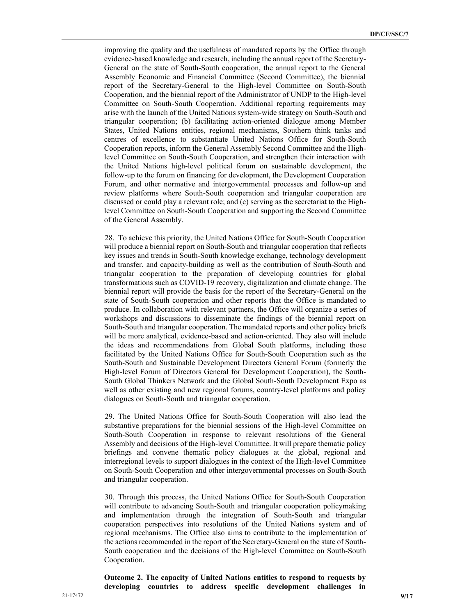improving the quality and the usefulness of mandated reports by the Office through evidence-based knowledge and research, including the annual report of the Secretary-General on the state of South-South cooperation, the annual report to the General Assembly Economic and Financial Committee (Second Committee), the biennial report of the Secretary-General to the High-level Committee on South-South Cooperation, and the biennial report of the Administrator of UNDP to the High-level Committee on South-South Cooperation. Additional reporting requirements may arise with the launch of the United Nations system-wide strategy on South-South and triangular cooperation; (b) facilitating action-oriented dialogue among Member States, United Nations entities, regional mechanisms, Southern think tanks and centres of excellence to substantiate United Nations Office for South-South Cooperation reports, inform the General Assembly Second Committee and the Highlevel Committee on South-South Cooperation, and strengthen their interaction with the United Nations high-level political forum on sustainable development, the follow-up to the forum on financing for development, the Development Cooperation Forum, and other normative and intergovernmental processes and follow-up and review platforms where South-South cooperation and triangular cooperation are discussed or could play a relevant role; and (c) serving as the secretariat to the Highlevel Committee on South-South Cooperation and supporting the Second Committee of the General Assembly.

28. To achieve this priority, the United Nations Office for South-South Cooperation will produce a biennial report on South-South and triangular cooperation that reflects key issues and trends in South-South knowledge exchange, technology development and transfer, and capacity-building as well as the contribution of South-South and triangular cooperation to the preparation of developing countries for global transformations such as COVID-19 recovery, digitalization and climate change. The biennial report will provide the basis for the report of the Secretary-General on the state of South-South cooperation and other reports that the Office is mandated to produce. In collaboration with relevant partners, the Office will organize a series of workshops and discussions to disseminate the findings of the biennial report on South-South and triangular cooperation. The mandated reports and other policy briefs will be more analytical, evidence-based and action-oriented. They also will include the ideas and recommendations from Global South platforms, including those facilitated by the United Nations Office for South-South Cooperation such as the South-South and Sustainable Development Directors General Forum (formerly the High-level Forum of Directors General for Development Cooperation), the South-South Global Thinkers Network and the Global South-South Development Expo as well as other existing and new regional forums, country-level platforms and policy dialogues on South-South and triangular cooperation.

29. The United Nations Office for South-South Cooperation will also lead the substantive preparations for the biennial sessions of the High-level Committee on South-South Cooperation in response to relevant resolutions of the General Assembly and decisions of the High-level Committee. It will prepare thematic policy briefings and convene thematic policy dialogues at the global, regional and interregional levels to support dialogues in the context of the High-level Committee on South-South Cooperation and other intergovernmental processes on South-South and triangular cooperation.

30. Through this process, the United Nations Office for South-South Cooperation will contribute to advancing South-South and triangular cooperation policymaking and implementation through the integration of South-South and triangular cooperation perspectives into resolutions of the United Nations system and of regional mechanisms. The Office also aims to contribute to the implementation of the actions recommended in the report of the Secretary-General on the state of South-South cooperation and the decisions of the High-level Committee on South-South Cooperation.

**Outcome 2. The capacity of United Nations entities to respond to requests by developing countries to address specific development challenges in**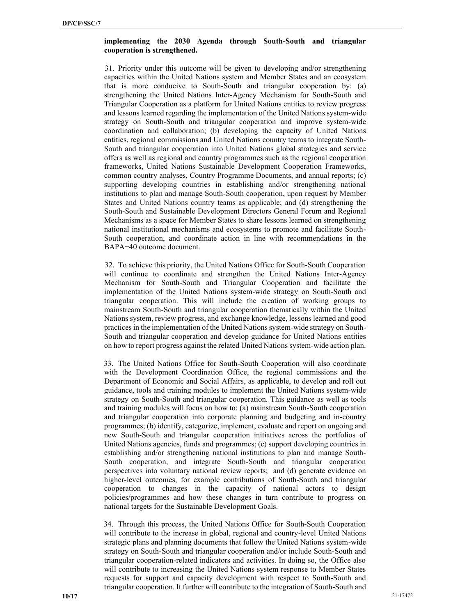## **implementing the 2030 Agenda through South-South and triangular cooperation is strengthened.**

31. Priority under this outcome will be given to developing and/or strengthening capacities within the United Nations system and Member States and an ecosystem that is more conducive to South-South and triangular cooperation by: (a) strengthening the United Nations Inter-Agency Mechanism for South-South and Triangular Cooperation as a platform for United Nations entities to review progress and lessons learned regarding the implementation of the United Nations system-wide strategy on South-South and triangular cooperation and improve system-wide coordination and collaboration; (b) developing the capacity of United Nations entities, regional commissions and United Nations country teams to integrate South-South and triangular cooperation into United Nations global strategies and service offers as well as regional and country programmes such as the regional cooperation frameworks, United Nations Sustainable Development Cooperation Frameworks, common country analyses, Country Programme Documents, and annual reports; (c) supporting developing countries in establishing and/or strengthening national institutions to plan and manage South-South cooperation, upon request by Member States and United Nations country teams as applicable; and (d) strengthening the South-South and Sustainable Development Directors General Forum and Regional Mechanisms as a space for Member States to share lessons learned on strengthening national institutional mechanisms and ecosystems to promote and facilitate South-South cooperation, and coordinate action in line with recommendations in the BAPA+40 outcome document.

32. To achieve this priority, the United Nations Office for South-South Cooperation will continue to coordinate and strengthen the United Nations Inter-Agency Mechanism for South-South and Triangular Cooperation and facilitate the implementation of the United Nations system-wide strategy on South-South and triangular cooperation. This will include the creation of working groups to mainstream South-South and triangular cooperation thematically within the United Nations system, review progress, and exchange knowledge, lessons learned and good practices in the implementation of the United Nations system-wide strategy on South-South and triangular cooperation and develop guidance for United Nations entities on how to report progress against the related United Nations system-wide action plan.

33. The United Nations Office for South-South Cooperation will also coordinate with the Development Coordination Office, the regional commissions and the Department of Economic and Social Affairs, as applicable, to develop and roll out guidance, tools and training modules to implement the United Nations system-wide strategy on South-South and triangular cooperation. This guidance as well as tools and training modules will focus on how to: (a) mainstream South-South cooperation and triangular cooperation into corporate planning and budgeting and in-country programmes; (b) identify, categorize, implement, evaluate and report on ongoing and new South-South and triangular cooperation initiatives across the portfolios of United Nations agencies, funds and programmes; (c) support developing countries in establishing and/or strengthening national institutions to plan and manage South-South cooperation, and integrate South-South and triangular cooperation perspectives into voluntary national review reports; and (d) generate evidence on higher-level outcomes, for example contributions of South-South and triangular cooperation to changes in the capacity of national actors to design policies/programmes and how these changes in turn contribute to progress on national targets for the Sustainable Development Goals.

34. Through this process, the United Nations Office for South-South Cooperation will contribute to the increase in global, regional and country-level United Nations strategic plans and planning documents that follow the United Nations system-wide strategy on South-South and triangular cooperation and/or include South-South and triangular cooperation-related indicators and activities. In doing so, the Office also will contribute to increasing the United Nations system response to Member States requests for support and capacity development with respect to South-South and triangular cooperation. It further will contribute to the integration of South-South and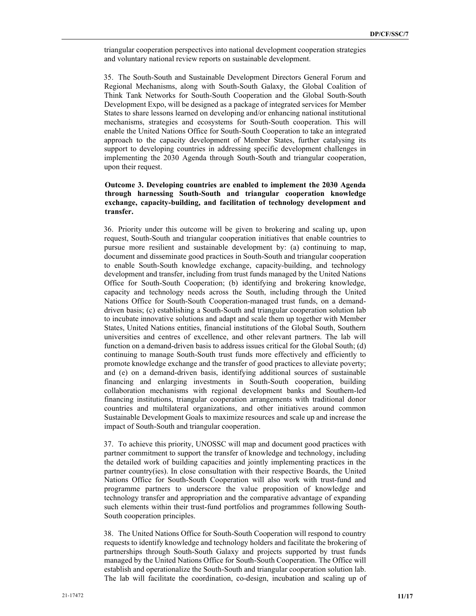triangular cooperation perspectives into national development cooperation strategies and voluntary national review reports on sustainable development.

35. The South-South and Sustainable Development Directors General Forum and Regional Mechanisms, along with South-South Galaxy, the Global Coalition of Think Tank Networks for South-South Cooperation and the Global South-South Development Expo, will be designed as a package of integrated services for Member States to share lessons learned on developing and/or enhancing national institutional mechanisms, strategies and ecosystems for South-South cooperation. This will enable the United Nations Office for South-South Cooperation to take an integrated approach to the capacity development of Member States, further catalysing its support to developing countries in addressing specific development challenges in implementing the 2030 Agenda through South-South and triangular cooperation, upon their request.

## **Outcome 3. Developing countries are enabled to implement the 2030 Agenda through harnessing South-South and triangular cooperation knowledge exchange, capacity-building, and facilitation of technology development and transfer.**

36. Priority under this outcome will be given to brokering and scaling up, upon request, South-South and triangular cooperation initiatives that enable countries to pursue more resilient and sustainable development by: (a) continuing to map, document and disseminate good practices in South-South and triangular cooperation to enable South-South knowledge exchange, capacity-building, and technology development and transfer, including from trust funds managed by the United Nations Office for South-South Cooperation; (b) identifying and brokering knowledge, capacity and technology needs across the South, including through the United Nations Office for South-South Cooperation-managed trust funds, on a demanddriven basis; (c) establishing a South-South and triangular cooperation solution lab to incubate innovative solutions and adapt and scale them up together with Member States, United Nations entities, financial institutions of the Global South, Southern universities and centres of excellence, and other relevant partners. The lab will function on a demand-driven basis to address issues critical for the Global South; (d) continuing to manage South-South trust funds more effectively and efficiently to promote knowledge exchange and the transfer of good practices to alleviate poverty; and (e) on a demand-driven basis, identifying additional sources of sustainable financing and enlarging investments in South-South cooperation, building collaboration mechanisms with regional development banks and Southern-led financing institutions, triangular cooperation arrangements with traditional donor countries and multilateral organizations, and other initiatives around common Sustainable Development Goals to maximize resources and scale up and increase the impact of South-South and triangular cooperation.

37. To achieve this priority, UNOSSC will map and document good practices with partner commitment to support the transfer of knowledge and technology, including the detailed work of building capacities and jointly implementing practices in the partner country(ies). In close consultation with their respective Boards, the United Nations Office for South-South Cooperation will also work with trust-fund and programme partners to underscore the value proposition of knowledge and technology transfer and appropriation and the comparative advantage of expanding such elements within their trust-fund portfolios and programmes following South-South cooperation principles.

38. The United Nations Office for South-South Cooperation will respond to country requests to identify knowledge and technology holders and facilitate the brokering of partnerships through South-South Galaxy and projects supported by trust funds managed by the United Nations Office for South-South Cooperation. The Office will establish and operationalize the South-South and triangular cooperation solution lab. The lab will facilitate the coordination, co-design, incubation and scaling up of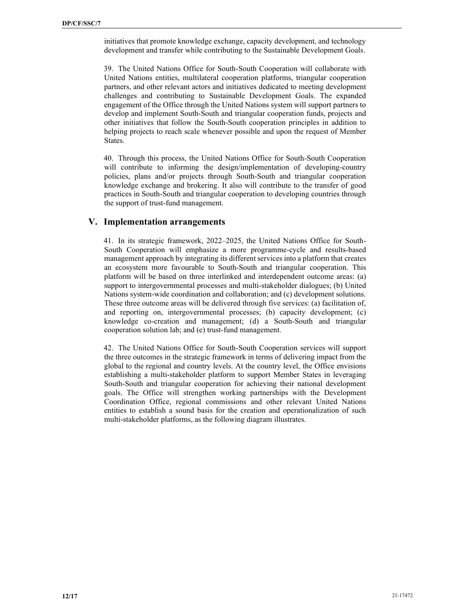initiatives that promote knowledge exchange, capacity development, and technology development and transfer while contributing to the Sustainable Development Goals.

39. The United Nations Office for South-South Cooperation will collaborate with United Nations entities, multilateral cooperation platforms, triangular cooperation partners, and other relevant actors and initiatives dedicated to meeting development challenges and contributing to Sustainable Development Goals. The expanded engagement of the Office through the United Nations system will support partners to develop and implement South-South and triangular cooperation funds, projects and other initiatives that follow the South-South cooperation principles in addition to helping projects to reach scale whenever possible and upon the request of Member States.

40. Through this process, the United Nations Office for South-South Cooperation will contribute to informing the design/implementation of developing-country policies, plans and/or projects through South-South and triangular cooperation knowledge exchange and brokering. It also will contribute to the transfer of good practices in South-South and triangular cooperation to developing countries through the support of trust-fund management.

# **V. Implementation arrangements**

41. In its strategic framework, 2022–2025, the United Nations Office for South-South Cooperation will emphasize a more programme-cycle and results-based management approach by integrating its different services into a platform that creates an ecosystem more favourable to South-South and triangular cooperation. This platform will be based on three interlinked and interdependent outcome areas: (a) support to intergovernmental processes and multi-stakeholder dialogues; (b) United Nations system-wide coordination and collaboration; and (c) development solutions. These three outcome areas will be delivered through five services: (a) facilitation of, and reporting on, intergovernmental processes; (b) capacity development; (c) knowledge co-creation and management; (d) a South-South and triangular cooperation solution lab; and (e) trust-fund management.

42. The United Nations Office for South-South Cooperation services will support the three outcomes in the strategic framework in terms of delivering impact from the global to the regional and country levels. At the country level, the Office envisions establishing a multi-stakeholder platform to support Member States in leveraging South-South and triangular cooperation for achieving their national development goals. The Office will strengthen working partnerships with the Development Coordination Office, regional commissions and other relevant United Nations entities to establish a sound basis for the creation and operationalization of such multi-stakeholder platforms, as the following diagram illustrates.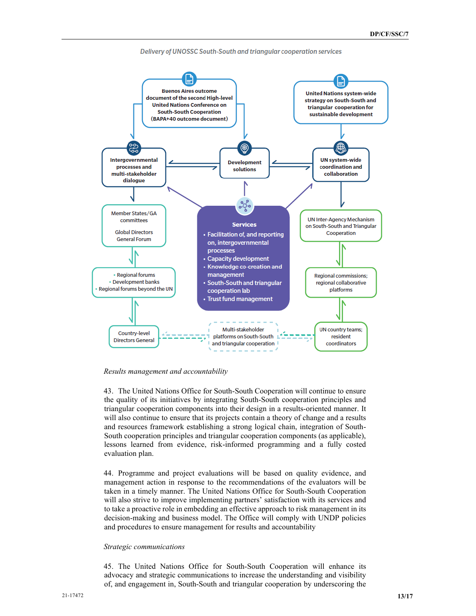

Delivery of UNOSSC South-South and triangular cooperation services

*Results management and accountability*

43. The United Nations Office for South-South Cooperation will continue to ensure the quality of its initiatives by integrating South-South cooperation principles and triangular cooperation components into their design in a results-oriented manner. It will also continue to ensure that its projects contain a theory of change and a results and resources framework establishing a strong logical chain, integration of South-South cooperation principles and triangular cooperation components (as applicable), lessons learned from evidence, risk-informed programming and a fully costed evaluation plan.

44. Programme and project evaluations will be based on quality evidence, and management action in response to the recommendations of the evaluators will be taken in a timely manner. The United Nations Office for South-South Cooperation will also strive to improve implementing partners' satisfaction with its services and to take a proactive role in embedding an effective approach to risk management in its decision-making and business model. The Office will comply with UNDP policies and procedures to ensure management for results and accountability

#### *Strategic communications*

45. The United Nations Office for South-South Cooperation will enhance its advocacy and strategic communications to increase the understanding and visibility of, and engagement in, South-South and triangular cooperation by underscoring the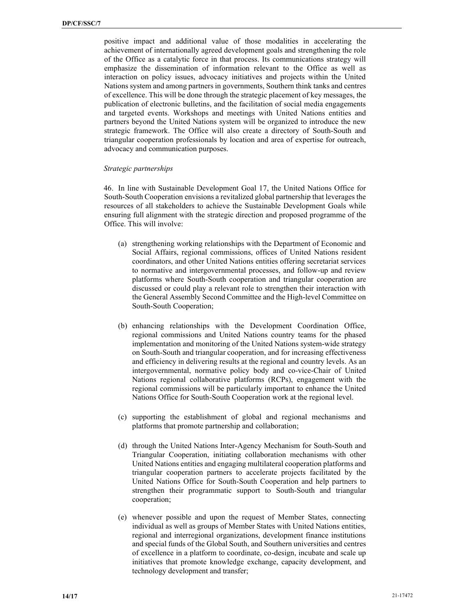positive impact and additional value of those modalities in accelerating the achievement of internationally agreed development goals and strengthening the role of the Office as a catalytic force in that process. Its communications strategy will emphasize the dissemination of information relevant to the Office as well as interaction on policy issues, advocacy initiatives and projects within the United Nations system and among partners in governments, Southern think tanks and centres of excellence. This will be done through the strategic placement of key messages, the publication of electronic bulletins, and the facilitation of social media engagements and targeted events. Workshops and meetings with United Nations entities and partners beyond the United Nations system will be organized to introduce the new strategic framework. The Office will also create a directory of South-South and triangular cooperation professionals by location and area of expertise for outreach, advocacy and communication purposes.

#### *Strategic partnerships*

46. In line with Sustainable Development Goal 17, the United Nations Office for South-South Cooperation envisions a revitalized global partnership that leverages the resources of all stakeholders to achieve the Sustainable Development Goals while ensuring full alignment with the strategic direction and proposed programme of the Office. This will involve:

- (a) strengthening working relationships with the Department of Economic and Social Affairs, regional commissions, offices of United Nations resident coordinators, and other United Nations entities offering secretariat services to normative and intergovernmental processes, and follow-up and review platforms where South-South cooperation and triangular cooperation are discussed or could play a relevant role to strengthen their interaction with the General Assembly Second Committee and the High-level Committee on South-South Cooperation;
- (b) enhancing relationships with the Development Coordination Office, regional commissions and United Nations country teams for the phased implementation and monitoring of the United Nations system-wide strategy on South-South and triangular cooperation, and for increasing effectiveness and efficiency in delivering results at the regional and country levels. As an intergovernmental, normative policy body and co-vice-Chair of United Nations regional collaborative platforms (RCPs), engagement with the regional commissions will be particularly important to enhance the United Nations Office for South-South Cooperation work at the regional level.
- (c) supporting the establishment of global and regional mechanisms and platforms that promote partnership and collaboration;
- (d) through the United Nations Inter-Agency Mechanism for South-South and Triangular Cooperation, initiating collaboration mechanisms with other United Nations entities and engaging multilateral cooperation platforms and triangular cooperation partners to accelerate projects facilitated by the United Nations Office for South-South Cooperation and help partners to strengthen their programmatic support to South-South and triangular cooperation;
- (e) whenever possible and upon the request of Member States, connecting individual as well as groups of Member States with United Nations entities, regional and interregional organizations, development finance institutions and special funds of the Global South, and Southern universities and centres of excellence in a platform to coordinate, co-design, incubate and scale up initiatives that promote knowledge exchange, capacity development, and technology development and transfer;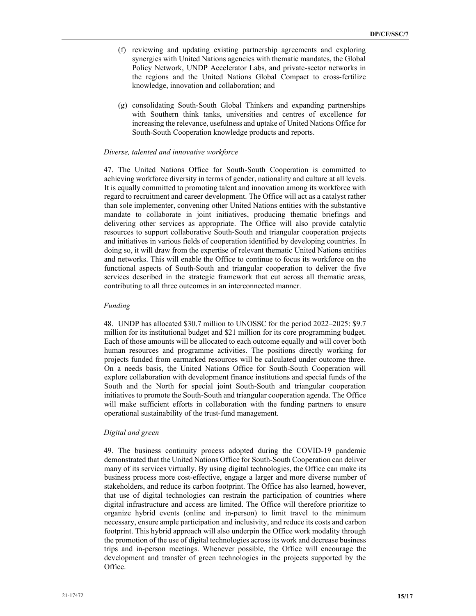- (f) reviewing and updating existing partnership agreements and exploring synergies with United Nations agencies with thematic mandates, the Global Policy Network, UNDP Accelerator Labs, and private-sector networks in the regions and the United Nations Global Compact to cross-fertilize knowledge, innovation and collaboration; and
- (g) consolidating South-South Global Thinkers and expanding partnerships with Southern think tanks, universities and centres of excellence for increasing the relevance, usefulness and uptake of United Nations Office for South-South Cooperation knowledge products and reports.

#### *Diverse, talented and innovative workforce*

47. The United Nations Office for South-South Cooperation is committed to achieving workforce diversity in terms of gender, nationality and culture at all levels. It is equally committed to promoting talent and innovation among its workforce with regard to recruitment and career development. The Office will act as a catalyst rather than sole implementer, convening other United Nations entities with the substantive mandate to collaborate in joint initiatives, producing thematic briefings and delivering other services as appropriate. The Office will also provide catalytic resources to support collaborative South-South and triangular cooperation projects and initiatives in various fields of cooperation identified by developing countries. In doing so, it will draw from the expertise of relevant thematic United Nations entities and networks. This will enable the Office to continue to focus its workforce on the functional aspects of South-South and triangular cooperation to deliver the five services described in the strategic framework that cut across all thematic areas, contributing to all three outcomes in an interconnected manner.

#### *Funding*

48. UNDP has allocated \$30.7 million to UNOSSC for the period 2022–2025: \$9.7 million for its institutional budget and \$21 million for its core programming budget. Each of those amounts will be allocated to each outcome equally and will cover both human resources and programme activities. The positions directly working for projects funded from earmarked resources will be calculated under outcome three. On a needs basis, the United Nations Office for South-South Cooperation will explore collaboration with development finance institutions and special funds of the South and the North for special joint South-South and triangular cooperation initiatives to promote the South-South and triangular cooperation agenda. The Office will make sufficient efforts in collaboration with the funding partners to ensure operational sustainability of the trust-fund management.

#### *Digital and green*

49. The business continuity process adopted during the COVID-19 pandemic demonstrated that the United Nations Office for South-South Cooperation can deliver many of its services virtually. By using digital technologies, the Office can make its business process more cost-effective, engage a larger and more diverse number of stakeholders, and reduce its carbon footprint. The Office has also learned, however, that use of digital technologies can restrain the participation of countries where digital infrastructure and access are limited. The Office will therefore prioritize to organize hybrid events (online and in-person) to limit travel to the minimum necessary, ensure ample participation and inclusivity, and reduce its costs and carbon footprint. This hybrid approach will also underpin the Office work modality through the promotion of the use of digital technologies across its work and decrease business trips and in-person meetings. Whenever possible, the Office will encourage the development and transfer of green technologies in the projects supported by the Office.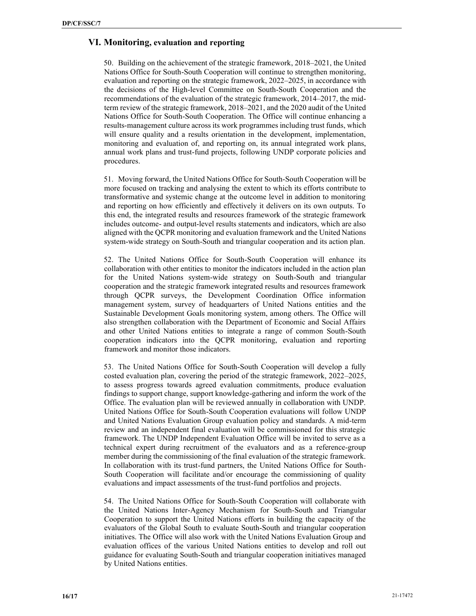# **VI. Monitoring, evaluation and reporting**

50. Building on the achievement of the strategic framework, 2018–2021, the United Nations Office for South-South Cooperation will continue to strengthen monitoring, evaluation and reporting on the strategic framework, 2022-2025, in accordance with the decisions of the High-level Committee on South-South Cooperation and the recommendations of the evaluation of the strategic framework, 2014–2017, the midterm review of the strategic framework, 2018–2021, and the 2020 audit of the United Nations Office for South-South Cooperation. The Office will continue enhancing a results-management culture across its work programmes including trust funds, which will ensure quality and a results orientation in the development, implementation, monitoring and evaluation of, and reporting on, its annual integrated work plans, annual work plans and trust-fund projects, following UNDP corporate policies and procedures.

51. Moving forward, the United Nations Office for South-South Cooperation will be more focused on tracking and analysing the extent to which its efforts contribute to transformative and systemic change at the outcome level in addition to monitoring and reporting on how efficiently and effectively it delivers on its own outputs. To this end, the integrated results and resources framework of the strategic framework includes outcome- and output-level results statements and indicators, which are also aligned with the QCPR monitoring and evaluation framework and the United Nations system-wide strategy on South-South and triangular cooperation and its action plan.

52. The United Nations Office for South-South Cooperation will enhance its collaboration with other entities to monitor the indicators included in the action plan for the United Nations system-wide strategy on South-South and triangular cooperation and the strategic framework integrated results and resources framework through QCPR surveys, the Development Coordination Office information management system, survey of headquarters of United Nations entities and the Sustainable Development Goals monitoring system, among others. The Office will also strengthen collaboration with the Department of Economic and Social Affairs and other United Nations entities to integrate a range of common South-South cooperation indicators into the QCPR monitoring, evaluation and reporting framework and monitor those indicators.

53. The United Nations Office for South-South Cooperation will develop a fully costed evaluation plan, covering the period of the strategic framework,  $2022-2025$ , to assess progress towards agreed evaluation commitments, produce evaluation findings to support change, support knowledge-gathering and inform the work of the Office. The evaluation plan will be reviewed annually in collaboration with UNDP. United Nations Office for South-South Cooperation evaluations will follow UNDP and United Nations Evaluation Group evaluation policy and standards. A mid-term review and an independent final evaluation will be commissioned for this strategic framework. The UNDP Independent Evaluation Office will be invited to serve as a technical expert during recruitment of the evaluators and as a reference-group member during the commissioning of the final evaluation of the strategic framework. In collaboration with its trust-fund partners, the United Nations Office for South-South Cooperation will facilitate and/or encourage the commissioning of quality evaluations and impact assessments of the trust-fund portfolios and projects.

54. The United Nations Office for South-South Cooperation will collaborate with the United Nations Inter-Agency Mechanism for South-South and Triangular Cooperation to support the United Nations efforts in building the capacity of the evaluators of the Global South to evaluate South-South and triangular cooperation initiatives. The Office will also work with the United Nations Evaluation Group and evaluation offices of the various United Nations entities to develop and roll out guidance for evaluating South-South and triangular cooperation initiatives managed by United Nations entities.